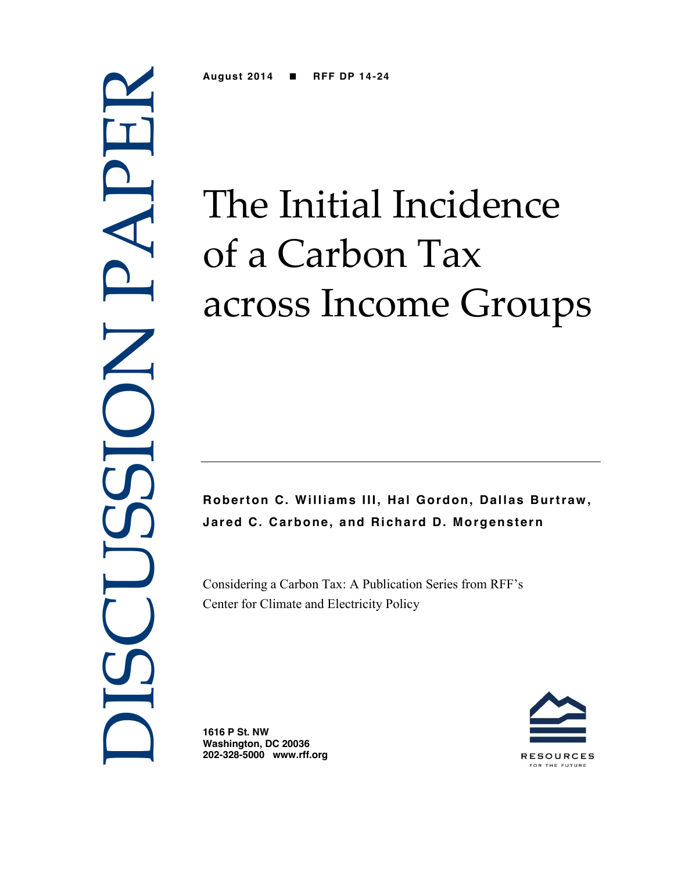

# The Initial Incidence of a Carbon Tax across Income Groups

**Roberton C. Williams III, Hal Gordon, Dallas Burtraw, Jared C. Carbone, and Richard D. Morgenstern**

Considering a Carbon Tax: A Publication Series from RFF's Center for Climate and Electricity Policy

**1616 P St. NW Washington, DC 20036 202-328-5000 www.rff.org**

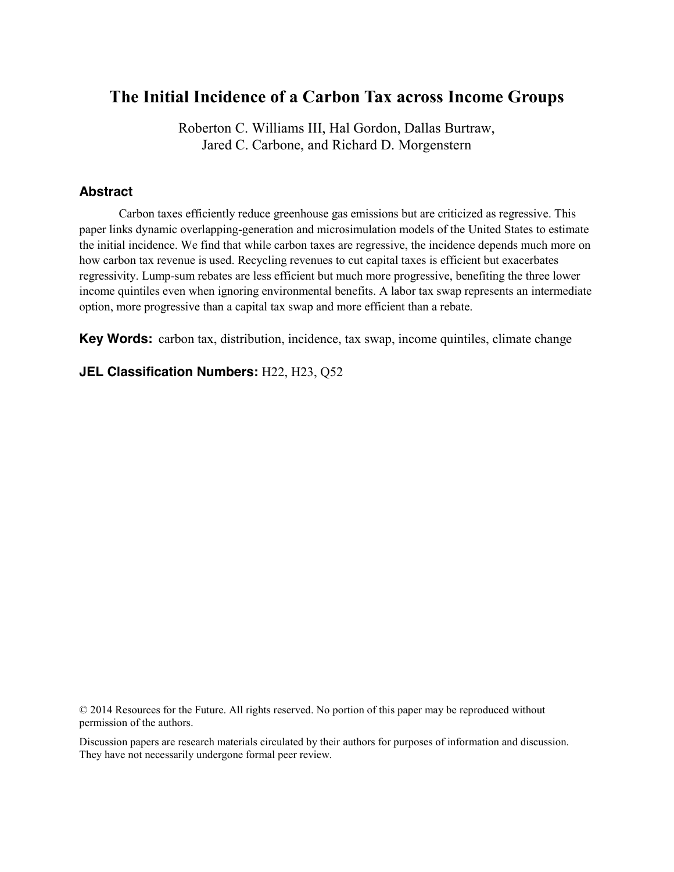# **The Initial Incidence of a Carbon Tax across Income Groups**

Roberton C. Williams III, Hal Gordon, Dallas Burtraw, Jared C. Carbone, and Richard D. Morgenstern

### **Abstract**

Carbon taxes efficiently reduce greenhouse gas emissions but are criticized as regressive. This paper links dynamic overlapping-generation and microsimulation models of the United States to estimate the initial incidence. We find that while carbon taxes are regressive, the incidence depends much more on how carbon tax revenue is used. Recycling revenues to cut capital taxes is efficient but exacerbates regressivity. Lump-sum rebates are less efficient but much more progressive, benefiting the three lower income quintiles even when ignoring environmental benefits. A labor tax swap represents an intermediate option, more progressive than a capital tax swap and more efficient than a rebate.

**Key Words:** carbon tax, distribution, incidence, tax swap, income quintiles, climate change

### **JEL Classification Numbers: H22, H23, Q52**

© 2014 Resources for the Future. All rights reserved. No portion of this paper may be reproduced without permission of the authors.

Discussion papers are research materials circulated by their authors for purposes of information and discussion. They have not necessarily undergone formal peer review.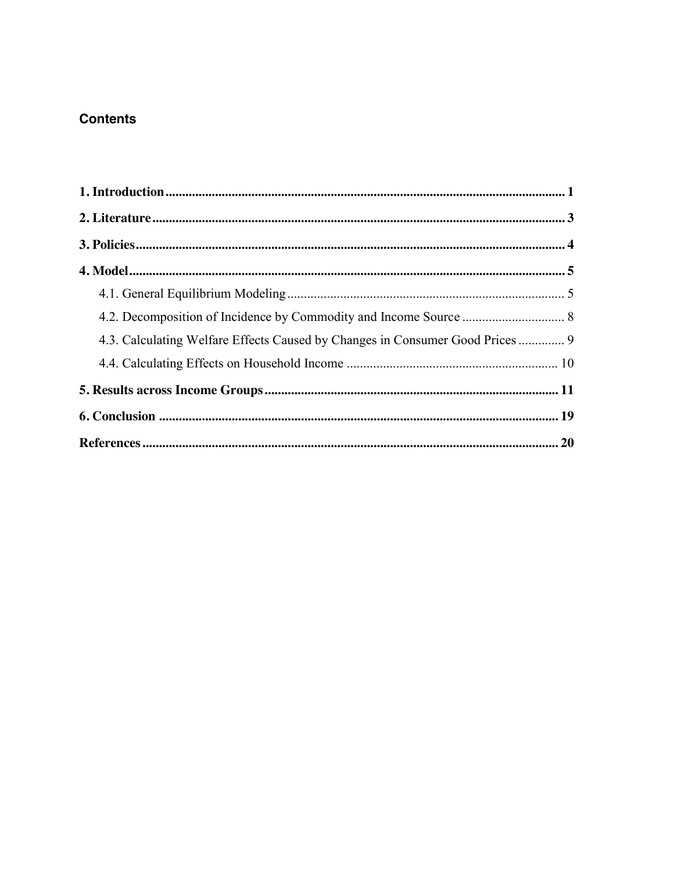# **Contents**

| 4.2. Decomposition of Incidence by Commodity and Income Source  8          |  |
|----------------------------------------------------------------------------|--|
| 4.3. Calculating Welfare Effects Caused by Changes in Consumer Good Prices |  |
|                                                                            |  |
|                                                                            |  |
|                                                                            |  |
|                                                                            |  |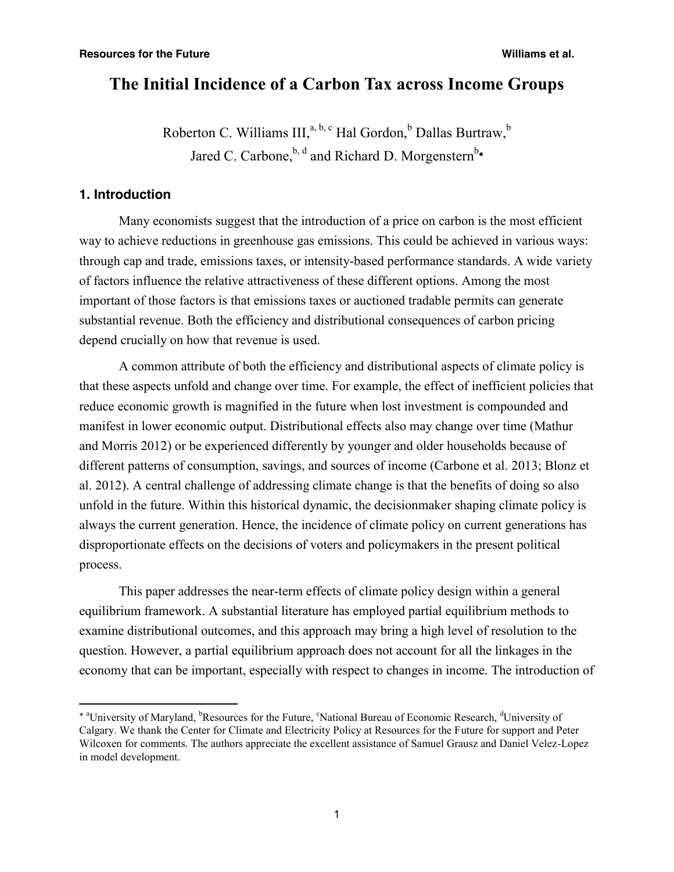# **The Initial Incidence of a Carbon Tax across Income Groups**

Roberton C. Williams III,<sup>a, b, c</sup> Hal Gordon, <sup>b</sup> Dallas Burtraw, <sup>b</sup> Jared C. Carbone,  $^{b, d}$  and Richard D. Morgenstern<sup>b</sup>\*

### **1. Introduction**

 $\overline{a}$ 

Many economists suggest that the introduction of a price on carbon is the most efficient way to achieve reductions in greenhouse gas emissions. This could be achieved in various ways: through cap and trade, emissions taxes, or intensity-based performance standards. A wide variety of factors influence the relative attractiveness of these different options. Among the most important of those factors is that emissions taxes or auctioned tradable permits can generate substantial revenue. Both the efficiency and distributional consequences of carbon pricing depend crucially on how that revenue is used.

A common attribute of both the efficiency and distributional aspects of climate policy is that these aspects unfold and change over time. For example, the effect of inefficient policies that reduce economic growth is magnified in the future when lost investment is compounded and manifest in lower economic output. Distributional effects also may change over time (Mathur and Morris 2012) or be experienced differently by younger and older households because of different patterns of consumption, savings, and sources of income (Carbone et al. 2013; Blonz et al. 2012). A central challenge of addressing climate change is that the benefits of doing so also unfold in the future. Within this historical dynamic, the decisionmaker shaping climate policy is always the current generation. Hence, the incidence of climate policy on current generations has disproportionate effects on the decisions of voters and policymakers in the present political process.

This paper addresses the near-term effects of climate policy design within a general equilibrium framework. A substantial literature has employed partial equilibrium methods to examine distributional outcomes, and this approach may bring a high level of resolution to the question. However, a partial equilibrium approach does not account for all the linkages in the economy that can be important, especially with respect to changes in income. The introduction of

<sup>\* &</sup>lt;sup>a</sup>University of Maryland, <sup>b</sup>Resources for the Future, "National Bureau of Economic Research, <sup>d</sup>University of Calgary. We thank the Center for Climate and Electricity Policy at Resources for the Future for support and Peter Wilcoxen for comments. The authors appreciate the excellent assistance of Samuel Grausz and Daniel Velez-Lopez in model development.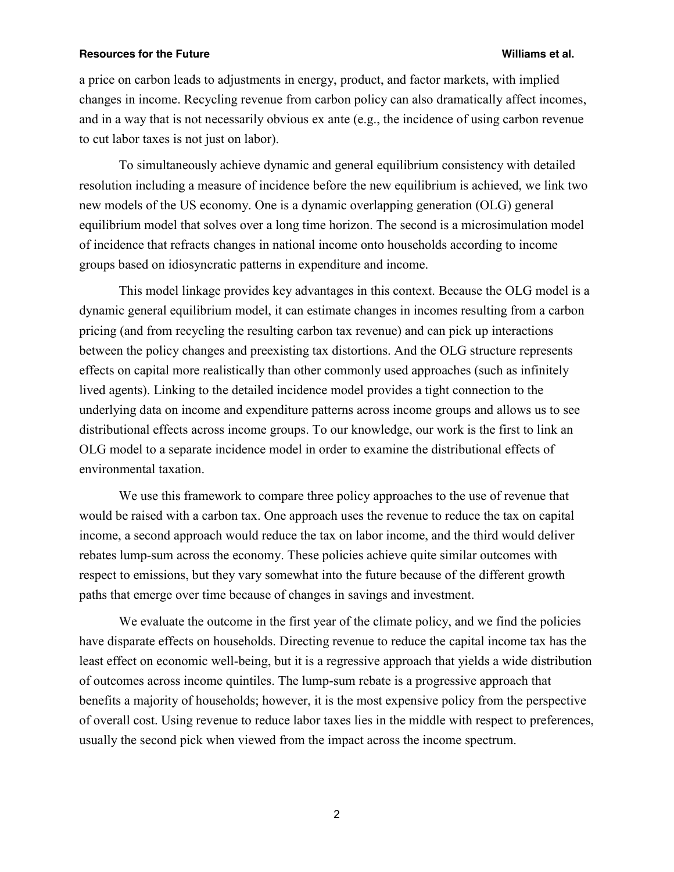a price on carbon leads to adjustments in energy, product, and factor markets, with implied changes in income. Recycling revenue from carbon policy can also dramatically affect incomes, and in a way that is not necessarily obvious ex ante (e.g., the incidence of using carbon revenue to cut labor taxes is not just on labor).

To simultaneously achieve dynamic and general equilibrium consistency with detailed resolution including a measure of incidence before the new equilibrium is achieved, we link two new models of the US economy. One is a dynamic overlapping generation (OLG) general equilibrium model that solves over a long time horizon. The second is a microsimulation model of incidence that refracts changes in national income onto households according to income groups based on idiosyncratic patterns in expenditure and income.

This model linkage provides key advantages in this context. Because the OLG model is a dynamic general equilibrium model, it can estimate changes in incomes resulting from a carbon pricing (and from recycling the resulting carbon tax revenue) and can pick up interactions between the policy changes and preexisting tax distortions. And the OLG structure represents effects on capital more realistically than other commonly used approaches (such as infinitely lived agents). Linking to the detailed incidence model provides a tight connection to the underlying data on income and expenditure patterns across income groups and allows us to see distributional effects across income groups. To our knowledge, our work is the first to link an OLG model to a separate incidence model in order to examine the distributional effects of environmental taxation.

We use this framework to compare three policy approaches to the use of revenue that would be raised with a carbon tax. One approach uses the revenue to reduce the tax on capital income, a second approach would reduce the tax on labor income, and the third would deliver rebates lump-sum across the economy. These policies achieve quite similar outcomes with respect to emissions, but they vary somewhat into the future because of the different growth paths that emerge over time because of changes in savings and investment.

We evaluate the outcome in the first year of the climate policy, and we find the policies have disparate effects on households. Directing revenue to reduce the capital income tax has the least effect on economic well-being, but it is a regressive approach that yields a wide distribution of outcomes across income quintiles. The lump-sum rebate is a progressive approach that benefits a majority of households; however, it is the most expensive policy from the perspective of overall cost. Using revenue to reduce labor taxes lies in the middle with respect to preferences, usually the second pick when viewed from the impact across the income spectrum.

2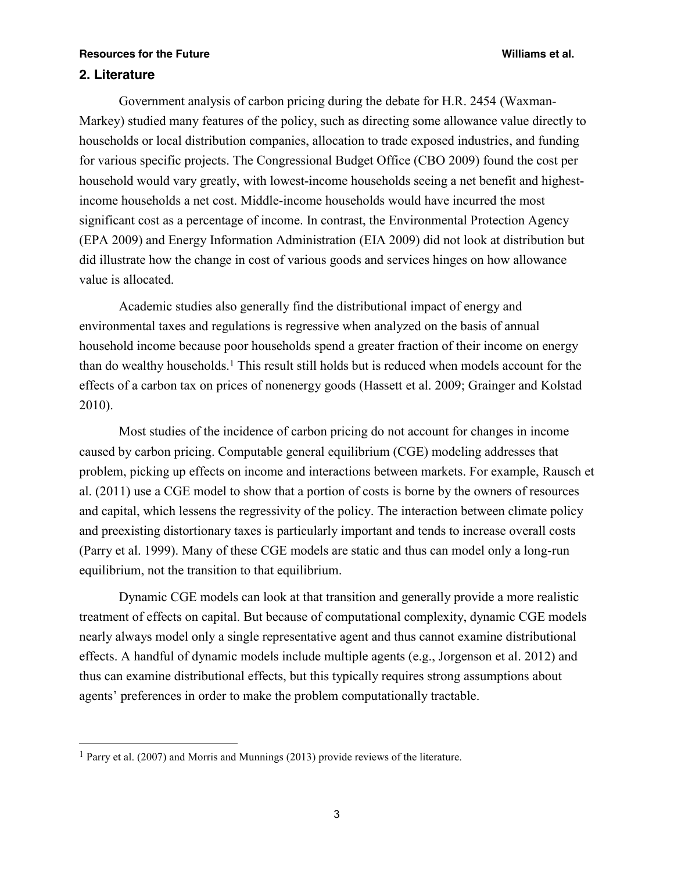### **2. Literature**

Government analysis of carbon pricing during the debate for H.R. 2454 (Waxman-Markey) studied many features of the policy, such as directing some allowance value directly to households or local distribution companies, allocation to trade exposed industries, and funding for various specific projects. The Congressional Budget Office (CBO 2009) found the cost per household would vary greatly, with lowest-income households seeing a net benefit and highestincome households a net cost. Middle-income households would have incurred the most significant cost as a percentage of income. In contrast, the Environmental Protection Agency (EPA 2009) and Energy Information Administration (EIA 2009) did not look at distribution but did illustrate how the change in cost of various goods and services hinges on how allowance value is allocated.

Academic studies also generally find the distributional impact of energy and environmental taxes and regulations is regressive when analyzed on the basis of annual household income because poor households spend a greater fraction of their income on energy than do wealthy households.1 This result still holds but is reduced when models account for the effects of a carbon tax on prices of nonenergy goods (Hassett et al. 2009; Grainger and Kolstad 2010).

Most studies of the incidence of carbon pricing do not account for changes in income caused by carbon pricing. Computable general equilibrium (CGE) modeling addresses that problem, picking up effects on income and interactions between markets. For example, Rausch et al. (2011) use a CGE model to show that a portion of costs is borne by the owners of resources and capital, which lessens the regressivity of the policy. The interaction between climate policy and preexisting distortionary taxes is particularly important and tends to increase overall costs (Parry et al. 1999). Many of these CGE models are static and thus can model only a long-run equilibrium, not the transition to that equilibrium.

Dynamic CGE models can look at that transition and generally provide a more realistic treatment of effects on capital. But because of computational complexity, dynamic CGE models nearly always model only a single representative agent and thus cannot examine distributional effects. A handful of dynamic models include multiple agents (e.g., Jorgenson et al. 2012) and thus can examine distributional effects, but this typically requires strong assumptions about agents' preferences in order to make the problem computationally tractable.

 <sup>1</sup> Parry et al. (2007) and Morris and Munnings (2013) provide reviews of the literature.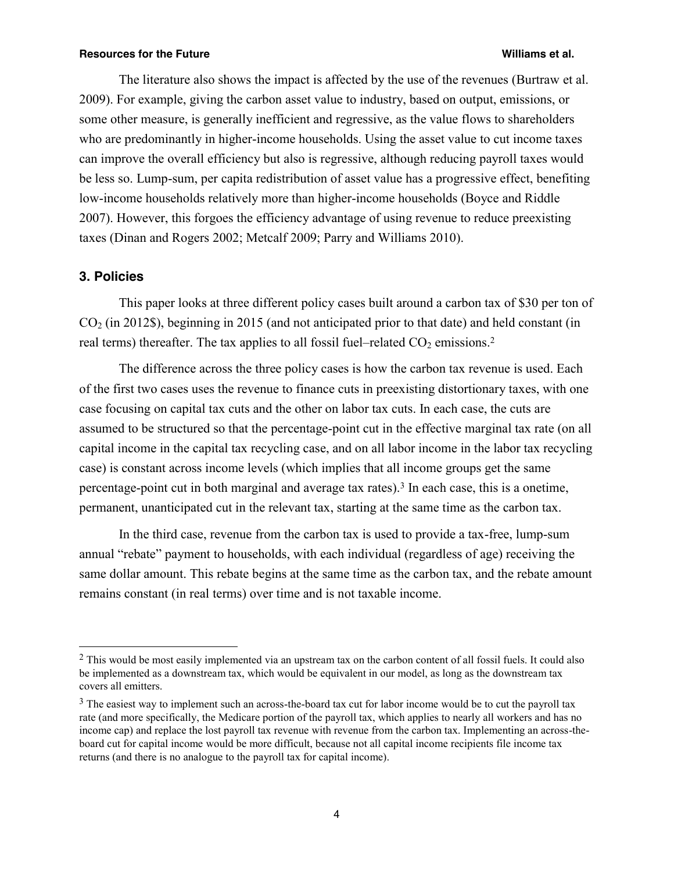The literature also shows the impact is affected by the use of the revenues (Burtraw et al. 2009). For example, giving the carbon asset value to industry, based on output, emissions, or some other measure, is generally inefficient and regressive, as the value flows to shareholders who are predominantly in higher-income households. Using the asset value to cut income taxes can improve the overall efficiency but also is regressive, although reducing payroll taxes would be less so. Lump-sum, per capita redistribution of asset value has a progressive effect, benefiting low-income households relatively more than higher-income households (Boyce and Riddle 2007). However, this forgoes the efficiency advantage of using revenue to reduce preexisting taxes (Dinan and Rogers 2002; Metcalf 2009; Parry and Williams 2010).

#### **3. Policies**

This paper looks at three different policy cases built around a carbon tax of \$30 per ton of  $CO<sub>2</sub>$  (in 2012\$), beginning in 2015 (and not anticipated prior to that date) and held constant (in real terms) thereafter. The tax applies to all fossil fuel–related  $CO<sub>2</sub>$  emissions.<sup>2</sup>

The difference across the three policy cases is how the carbon tax revenue is used. Each of the first two cases uses the revenue to finance cuts in preexisting distortionary taxes, with one case focusing on capital tax cuts and the other on labor tax cuts. In each case, the cuts are assumed to be structured so that the percentage-point cut in the effective marginal tax rate (on all capital income in the capital tax recycling case, and on all labor income in the labor tax recycling case) is constant across income levels (which implies that all income groups get the same percentage-point cut in both marginal and average tax rates).3 In each case, this is a onetime, permanent, unanticipated cut in the relevant tax, starting at the same time as the carbon tax.

In the third case, revenue from the carbon tax is used to provide a tax-free, lump-sum annual "rebate" payment to households, with each individual (regardless of age) receiving the same dollar amount. This rebate begins at the same time as the carbon tax, and the rebate amount remains constant (in real terms) over time and is not taxable income.

<sup>&</sup>lt;sup>2</sup> This would be most easily implemented via an upstream tax on the carbon content of all fossil fuels. It could also be implemented as a downstream tax, which would be equivalent in our model, as long as the downstream tax covers all emitters.

<sup>&</sup>lt;sup>3</sup> The easiest way to implement such an across-the-board tax cut for labor income would be to cut the payroll tax rate (and more specifically, the Medicare portion of the payroll tax, which applies to nearly all workers and has no income cap) and replace the lost payroll tax revenue with revenue from the carbon tax. Implementing an across-theboard cut for capital income would be more difficult, because not all capital income recipients file income tax returns (and there is no analogue to the payroll tax for capital income).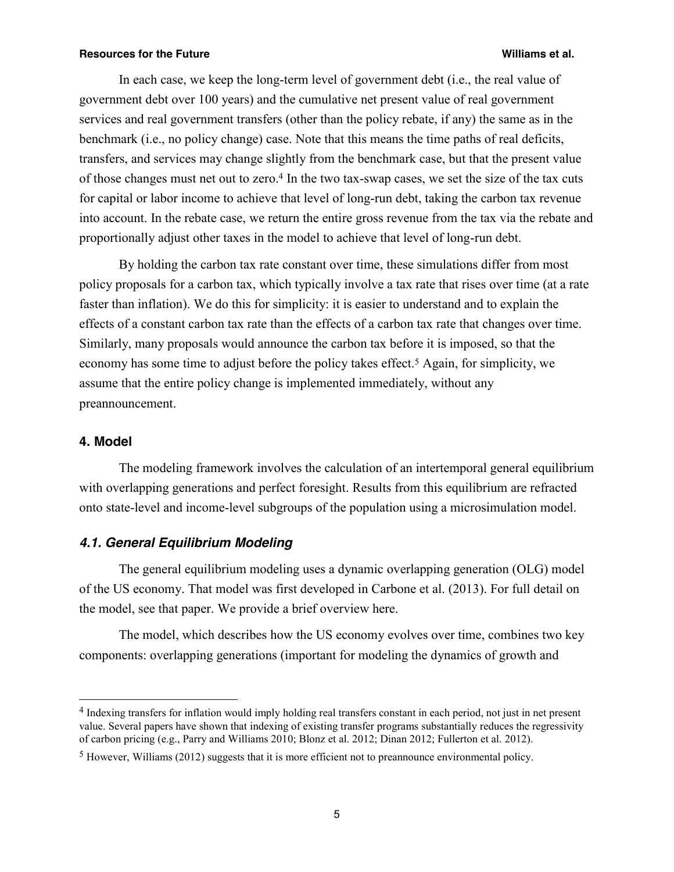In each case, we keep the long-term level of government debt (i.e., the real value of government debt over 100 years) and the cumulative net present value of real government services and real government transfers (other than the policy rebate, if any) the same as in the benchmark (i.e., no policy change) case. Note that this means the time paths of real deficits, transfers, and services may change slightly from the benchmark case, but that the present value of those changes must net out to zero.4 In the two tax-swap cases, we set the size of the tax cuts for capital or labor income to achieve that level of long-run debt, taking the carbon tax revenue into account. In the rebate case, we return the entire gross revenue from the tax via the rebate and proportionally adjust other taxes in the model to achieve that level of long-run debt.

By holding the carbon tax rate constant over time, these simulations differ from most policy proposals for a carbon tax, which typically involve a tax rate that rises over time (at a rate faster than inflation). We do this for simplicity: it is easier to understand and to explain the effects of a constant carbon tax rate than the effects of a carbon tax rate that changes over time. Similarly, many proposals would announce the carbon tax before it is imposed, so that the economy has some time to adjust before the policy takes effect.5 Again, for simplicity, we assume that the entire policy change is implemented immediately, without any preannouncement.

#### **4. Model**

The modeling framework involves the calculation of an intertemporal general equilibrium with overlapping generations and perfect foresight. Results from this equilibrium are refracted onto state-level and income-level subgroups of the population using a microsimulation model.

### *4.1. General Equilibrium Modeling*

The general equilibrium modeling uses a dynamic overlapping generation (OLG) model of the US economy. That model was first developed in Carbone et al. (2013). For full detail on the model, see that paper. We provide a brief overview here.

The model, which describes how the US economy evolves over time, combines two key components: overlapping generations (important for modeling the dynamics of growth and

 <sup>4</sup> Indexing transfers for inflation would imply holding real transfers constant in each period, not just in net present value. Several papers have shown that indexing of existing transfer programs substantially reduces the regressivity of carbon pricing (e.g., Parry and Williams 2010; Blonz et al. 2012; Dinan 2012; Fullerton et al. 2012).

<sup>5</sup> However, Williams (2012) suggests that it is more efficient not to preannounce environmental policy.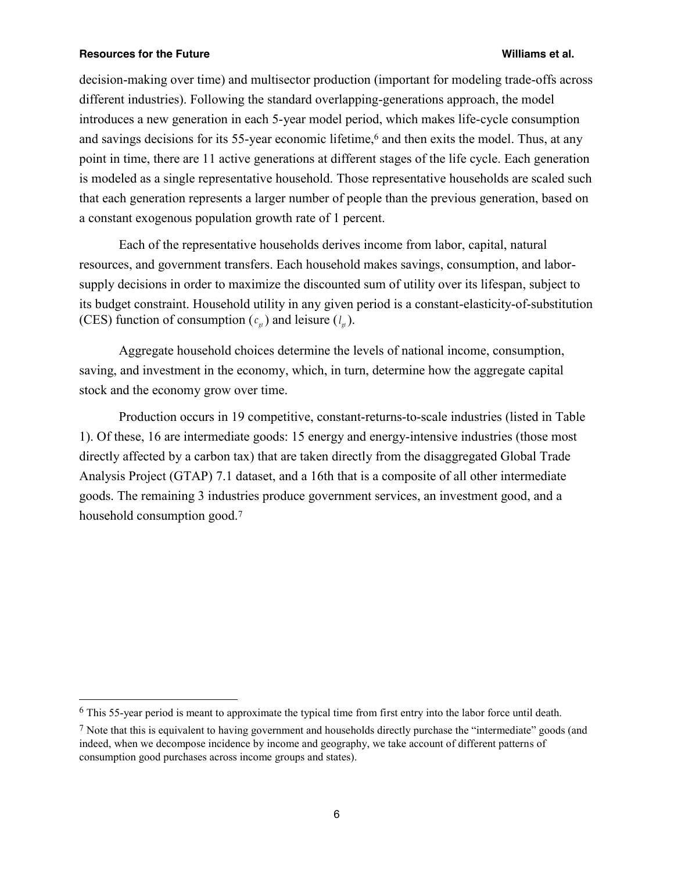decision-making over time) and multisector production (important for modeling trade-offs across different industries). Following the standard overlapping-generations approach, the model introduces a new generation in each 5-year model period, which makes life-cycle consumption and savings decisions for its 55-year economic lifetime,<sup>6</sup> and then exits the model. Thus, at any point in time, there are 11 active generations at different stages of the life cycle. Each generation is modeled as a single representative household. Those representative households are scaled such that each generation represents a larger number of people than the previous generation, based on a constant exogenous population growth rate of 1 percent.

Each of the representative households derives income from labor, capital, natural resources, and government transfers. Each household makes savings, consumption, and laborsupply decisions in order to maximize the discounted sum of utility over its lifespan, subject to its budget constraint. Household utility in any given period is a constant-elasticity-of-substitution (CES) function of consumption  $(c_g)$  and leisure  $(l_g)$ .

Aggregate household choices determine the levels of national income, consumption, saving, and investment in the economy, which, in turn, determine how the aggregate capital stock and the economy grow over time.

Production occurs in 19 competitive, constant-returns-to-scale industries (listed in Table 1). Of these, 16 are intermediate goods: 15 energy and energy-intensive industries (those most directly affected by a carbon tax) that are taken directly from the disaggregated Global Trade Analysis Project (GTAP) 7.1 dataset, and a 16th that is a composite of all other intermediate goods. The remaining 3 industries produce government services, an investment good, and a household consumption good.7

 <sup>6</sup> This 55-year period is meant to approximate the typical time from first entry into the labor force until death.

<sup>7</sup> Note that this is equivalent to having government and households directly purchase the "intermediate" goods (and indeed, when we decompose incidence by income and geography, we take account of different patterns of consumption good purchases across income groups and states).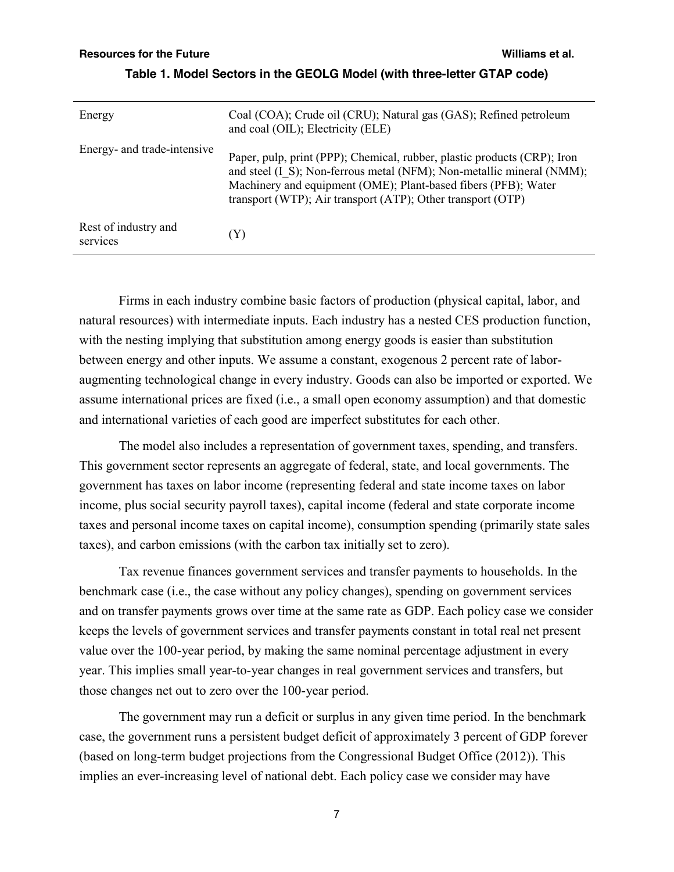| Energy                           | Coal (COA); Crude oil (CRU); Natural gas (GAS); Refined petroleum<br>and coal (OIL); Electricity (ELE)                                                                                                                                                                             |
|----------------------------------|------------------------------------------------------------------------------------------------------------------------------------------------------------------------------------------------------------------------------------------------------------------------------------|
| Energy- and trade-intensive      | Paper, pulp, print (PPP); Chemical, rubber, plastic products (CRP); Iron<br>and steel (I S); Non-ferrous metal (NFM); Non-metallic mineral (NMM);<br>Machinery and equipment (OME); Plant-based fibers (PFB); Water<br>transport (WTP); Air transport (ATP); Other transport (OTP) |
| Rest of industry and<br>services | (Y)                                                                                                                                                                                                                                                                                |

#### **Table 1. Model Sectors in the GEOLG Model (with three-letter GTAP code)**

Firms in each industry combine basic factors of production (physical capital, labor, and natural resources) with intermediate inputs. Each industry has a nested CES production function, with the nesting implying that substitution among energy goods is easier than substitution between energy and other inputs. We assume a constant, exogenous 2 percent rate of laboraugmenting technological change in every industry. Goods can also be imported or exported. We assume international prices are fixed (i.e., a small open economy assumption) and that domestic and international varieties of each good are imperfect substitutes for each other.

The model also includes a representation of government taxes, spending, and transfers. This government sector represents an aggregate of federal, state, and local governments. The government has taxes on labor income (representing federal and state income taxes on labor income, plus social security payroll taxes), capital income (federal and state corporate income taxes and personal income taxes on capital income), consumption spending (primarily state sales taxes), and carbon emissions (with the carbon tax initially set to zero).

Tax revenue finances government services and transfer payments to households. In the benchmark case (i.e., the case without any policy changes), spending on government services and on transfer payments grows over time at the same rate as GDP. Each policy case we consider keeps the levels of government services and transfer payments constant in total real net present value over the 100-year period, by making the same nominal percentage adjustment in every year. This implies small year-to-year changes in real government services and transfers, but those changes net out to zero over the 100-year period.

The government may run a deficit or surplus in any given time period. In the benchmark case, the government runs a persistent budget deficit of approximately 3 percent of GDP forever (based on long-term budget projections from the Congressional Budget Office (2012)). This implies an ever-increasing level of national debt. Each policy case we consider may have

7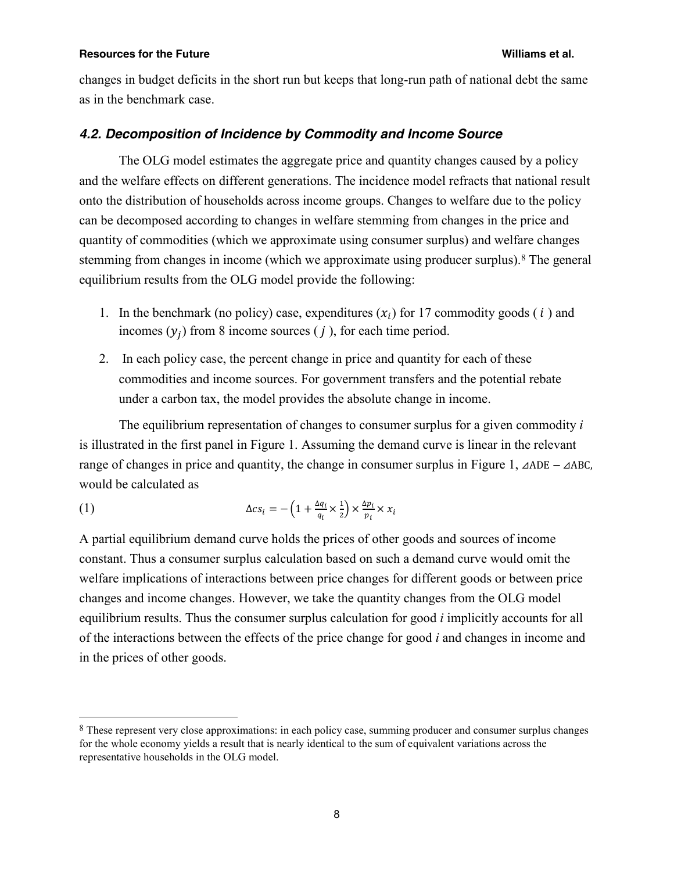changes in budget deficits in the short run but keeps that long-run path of national debt the same as in the benchmark case.

### *4.2. Decomposition of Incidence by Commodity and Income Source*

The OLG model estimates the aggregate price and quantity changes caused by a policy and the welfare effects on different generations. The incidence model refracts that national result onto the distribution of households across income groups. Changes to welfare due to the policy can be decomposed according to changes in welfare stemming from changes in the price and quantity of commodities (which we approximate using consumer surplus) and welfare changes stemming from changes in income (which we approximate using producer surplus).<sup>8</sup> The general equilibrium results from the OLG model provide the following:

- 1. In the benchmark (no policy) case, expenditures  $(x_i)$  for 17 commodity goods ( i) and incomes  $(y_i)$  from 8 income sources (*i*), for each time period.
- 2. In each policy case, the percent change in price and quantity for each of these commodities and income sources. For government transfers and the potential rebate under a carbon tax, the model provides the absolute change in income.

The equilibrium representation of changes to consumer surplus for a given commodity *i*  is illustrated in the first panel in Figure 1. Assuming the demand curve is linear in the relevant range of changes in price and quantity, the change in consumer surplus in Figure 1, ⊿ADE − ⊿ABC, would be calculated as

(1) 
$$
\Delta cs_i = -\left(1 + \frac{\Delta q_i}{q_i} \times \frac{1}{2}\right) \times \frac{\Delta p_i}{p_i} \times x_i
$$

A partial equilibrium demand curve holds the prices of other goods and sources of income constant. Thus a consumer surplus calculation based on such a demand curve would omit the welfare implications of interactions between price changes for different goods or between price changes and income changes. However, we take the quantity changes from the OLG model equilibrium results. Thus the consumer surplus calculation for good *i* implicitly accounts for all of the interactions between the effects of the price change for good *i* and changes in income and in the prices of other goods.

 <sup>8</sup> These represent very close approximations: in each policy case, summing producer and consumer surplus changes for the whole economy yields a result that is nearly identical to the sum of equivalent variations across the representative households in the OLG model.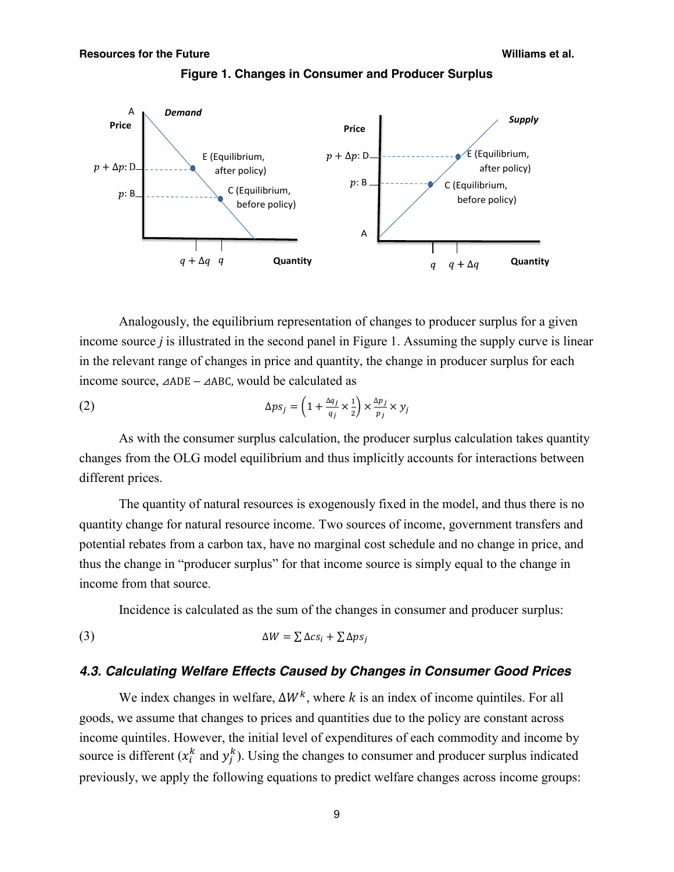

**Figure 1. Changes in Consumer and Producer Surplus**

Analogously, the equilibrium representation of changes to producer surplus for a given income source *j* is illustrated in the second panel in Figure 1. Assuming the supply curve is linear in the relevant range of changes in price and quantity, the change in producer surplus for each income source, ⊿ADE − ⊿ABC, would be calculated as

(2) 
$$
\Delta ps_j = \left(1 + \frac{\Delta q_j}{q_j} \times \frac{1}{2}\right) \times \frac{\Delta p_j}{p_j} \times y_j
$$

As with the consumer surplus calculation, the producer surplus calculation takes quantity changes from the OLG model equilibrium and thus implicitly accounts for interactions between different prices.

The quantity of natural resources is exogenously fixed in the model, and thus there is no quantity change for natural resource income. Two sources of income, government transfers and potential rebates from a carbon tax, have no marginal cost schedule and no change in price, and thus the change in "producer surplus" for that income source is simply equal to the change in income from that source.

Incidence is calculated as the sum of the changes in consumer and producer surplus:

$$
\Delta W = \sum \Delta c s_i + \sum \Delta p s_j
$$

#### *4.3. Calculating Welfare Effects Caused by Changes in Consumer Good Prices*

We index changes in welfare,  $\Delta W^k$ , where k is an index of income quintiles. For all goods, we assume that changes to prices and quantities due to the policy are constant across income quintiles. However, the initial level of expenditures of each commodity and income by source is different ( $x_i^k$  and  $y_j^k$ ). Using the changes to consumer and producer surplus indicated previously, we apply the following equations to predict welfare changes across income groups: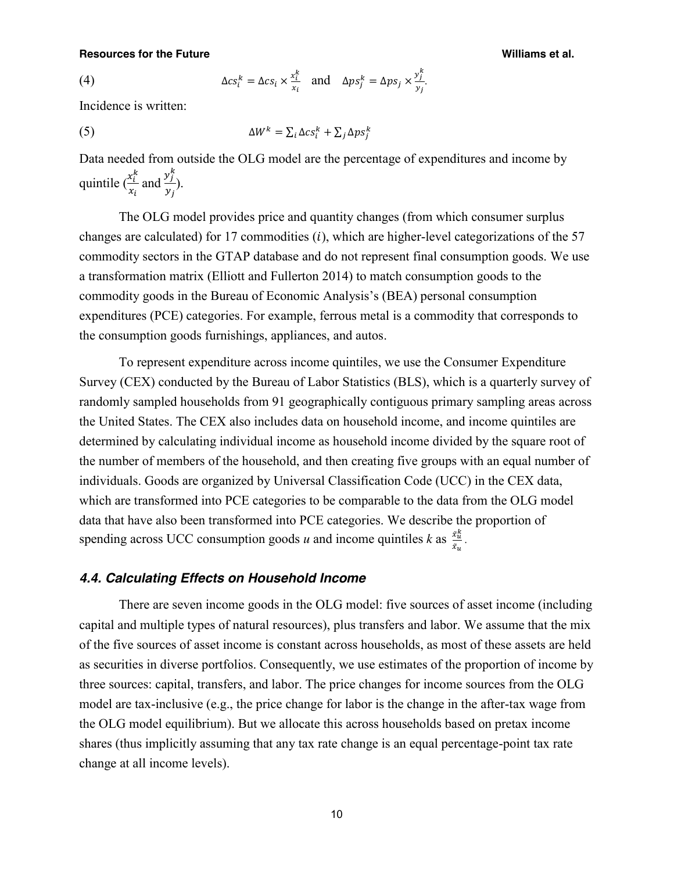(4) 
$$
\Delta cs_i^k = \Delta cs_i \times \frac{x_i^k}{x_i} \text{ and } \Delta ps_j^k = \Delta ps_j \times \frac{y_j^k}{y_j}.
$$

Incidence is written:

(5) 
$$
\Delta W^k = \sum_i \Delta c s_i^k + \sum_j \Delta p s_j^k
$$

Data needed from outside the OLG model are the percentage of expenditures and income by quintile  $\left(\frac{x_i^k}{x_i}\right)$  $\frac{x_i^k}{x_i}$  and  $\frac{y_j^k}{y_j}$  $\frac{y_j}{y_j}$ ).

The OLG model provides price and quantity changes (from which consumer surplus changes are calculated) for 17 commodities  $(i)$ , which are higher-level categorizations of the 57 commodity sectors in the GTAP database and do not represent final consumption goods. We use a transformation matrix (Elliott and Fullerton 2014) to match consumption goods to the commodity goods in the Bureau of Economic Analysis's (BEA) personal consumption expenditures (PCE) categories. For example, ferrous metal is a commodity that corresponds to the consumption goods furnishings, appliances, and autos.

To represent expenditure across income quintiles, we use the Consumer Expenditure Survey (CEX) conducted by the Bureau of Labor Statistics (BLS), which is a quarterly survey of randomly sampled households from 91 geographically contiguous primary sampling areas across the United States. The CEX also includes data on household income, and income quintiles are determined by calculating individual income as household income divided by the square root of the number of members of the household, and then creating five groups with an equal number of individuals. Goods are organized by Universal Classification Code (UCC) in the CEX data, which are transformed into PCE categories to be comparable to the data from the OLG model data that have also been transformed into PCE categories. We describe the proportion of spending across UCC consumption goods *u* and income quintiles *k* as  $\frac{\tilde{x}_u^k}{s}$  $\frac{\lambda u}{\tilde{x}_u}$  .

#### *4.4. Calculating Effects on Household Income*

There are seven income goods in the OLG model: five sources of asset income (including capital and multiple types of natural resources), plus transfers and labor. We assume that the mix of the five sources of asset income is constant across households, as most of these assets are held as securities in diverse portfolios. Consequently, we use estimates of the proportion of income by three sources: capital, transfers, and labor. The price changes for income sources from the OLG model are tax-inclusive (e.g., the price change for labor is the change in the after-tax wage from the OLG model equilibrium). But we allocate this across households based on pretax income shares (thus implicitly assuming that any tax rate change is an equal percentage-point tax rate change at all income levels).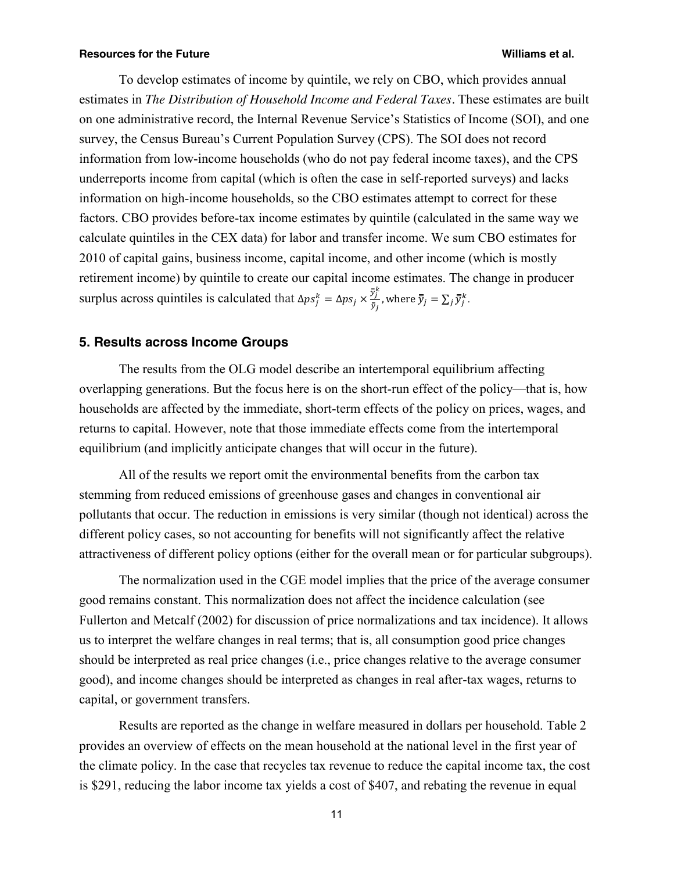To develop estimates of income by quintile, we rely on CBO, which provides annual estimates in *The Distribution of Household Income and Federal Taxes.* These estimates are built on one administrative record, the Internal Revenue Service's Statistics of Income (SOI), and one survey, the Census Bureau's Current Population Survey (CPS). The SOI does not record information from low-income households (who do not pay federal income taxes), and the CPS underreports income from capital (which is often the case in self-reported surveys) and lacks information on high-income households, so the CBO estimates attempt to correct for these factors. CBO provides before-tax income estimates by quintile (calculated in the same way we calculate quintiles in the CEX data) for labor and transfer income. We sum CBO estimates for 2010 of capital gains, business income, capital income, and other income (which is mostly retirement income) by quintile to create our capital income estimates. The change in producer surplus across quintiles is calculated that  $\Delta ps_j^k = \Delta ps_j \times \frac{\bar{g}_j^k}{\bar{s}_j}$ .  $\frac{y_j}{\bar{y}_j}$ , where  $\bar{\bar{y}}_j = \sum_j \bar{\bar{y}}_j^k$ .

#### **5. Results across Income Groups**

The results from the OLG model describe an intertemporal equilibrium affecting overlapping generations. But the focus here is on the short-run effect of the policy—that is, how households are affected by the immediate, short-term effects of the policy on prices, wages, and returns to capital. However, note that those immediate effects come from the intertemporal equilibrium (and implicitly anticipate changes that will occur in the future).

All of the results we report omit the environmental benefits from the carbon tax stemming from reduced emissions of greenhouse gases and changes in conventional air pollutants that occur. The reduction in emissions is very similar (though not identical) across the different policy cases, so not accounting for benefits will not significantly affect the relative attractiveness of different policy options (either for the overall mean or for particular subgroups).

The normalization used in the CGE model implies that the price of the average consumer good remains constant. This normalization does not affect the incidence calculation (see Fullerton and Metcalf (2002) for discussion of price normalizations and tax incidence). It allows us to interpret the welfare changes in real terms; that is, all consumption good price changes should be interpreted as real price changes (i.e., price changes relative to the average consumer good), and income changes should be interpreted as changes in real after-tax wages, returns to capital, or government transfers.

Results are reported as the change in welfare measured in dollars per household. Table 2 provides an overview of effects on the mean household at the national level in the first year of the climate policy. In the case that recycles tax revenue to reduce the capital income tax, the cost is \$291, reducing the labor income tax yields a cost of \$407, and rebating the revenue in equal

11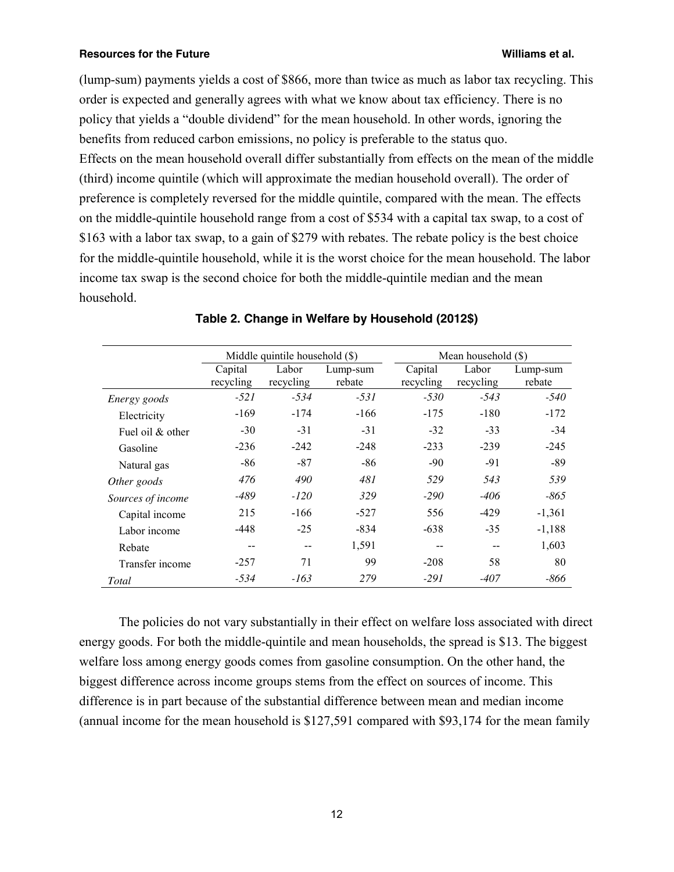(lump-sum) payments yields a cost of \$866, more than twice as much as labor tax recycling. This order is expected and generally agrees with what we know about tax efficiency. There is no policy that yields a "double dividend" for the mean household. In other words, ignoring the benefits from reduced carbon emissions, no policy is preferable to the status quo. Effects on the mean household overall differ substantially from effects on the mean of the middle (third) income quintile (which will approximate the median household overall). The order of preference is completely reversed for the middle quintile, compared with the mean. The effects on the middle-quintile household range from a cost of \$534 with a capital tax swap, to a cost of \$163 with a labor tax swap, to a gain of \$279 with rebates. The rebate policy is the best choice for the middle-quintile household, while it is the worst choice for the mean household. The labor income tax swap is the second choice for both the middle-quintile median and the mean household.

|                   | Middle quintile household (\$) |           |          | Mean household $(\$)$ |           |          |  |
|-------------------|--------------------------------|-----------|----------|-----------------------|-----------|----------|--|
|                   | Capital                        | Labor     | Lump-sum | Capital               | Labor     | Lump-sum |  |
|                   | recycling                      | recycling | rebate   | recycling             | recycling | rebate   |  |
| Energy goods      | $-521$                         | $-534$    | $-531$   | $-530$                | $-543$    | $-540$   |  |
| Electricity       | $-169$                         | $-174$    | $-166$   | $-175$                | $-180$    | $-172$   |  |
| Fuel oil & other  | $-30$                          | $-31$     | $-31$    | $-32$                 | $-33$     | $-34$    |  |
| Gasoline          | $-236$                         | $-242$    | $-248$   | $-233$                | $-239$    | $-245$   |  |
| Natural gas       | -86                            | $-87$     | $-86$    | $-90$                 | $-91$     | $-89$    |  |
| Other goods       | 476                            | 490       | 481      | 529                   | 543       | 539      |  |
| Sources of income | -489                           | $-120$    | 329      | $-290$                | $-406$    | $-865$   |  |
| Capital income    | 215                            | $-166$    | $-527$   | 556                   | $-429$    | $-1,361$ |  |
| Labor income      | $-448$                         | $-25$     | $-834$   | $-638$                | $-35$     | $-1,188$ |  |
| Rebate            | --                             | --        | 1,591    |                       | $- -$     | 1,603    |  |
| Transfer income   | $-257$                         | 71        | 99       | $-208$                | 58        | 80       |  |
| Total             | $-534$                         | $-163$    | 279      | $-291$                | $-407$    | -866     |  |

#### **Table 2. Change in Welfare by Household (2012\$)**

The policies do not vary substantially in their effect on welfare loss associated with direct energy goods. For both the middle-quintile and mean households, the spread is \$13. The biggest welfare loss among energy goods comes from gasoline consumption. On the other hand, the biggest difference across income groups stems from the effect on sources of income. This difference is in part because of the substantial difference between mean and median income (annual income for the mean household is \$127,591 compared with \$93,174 for the mean family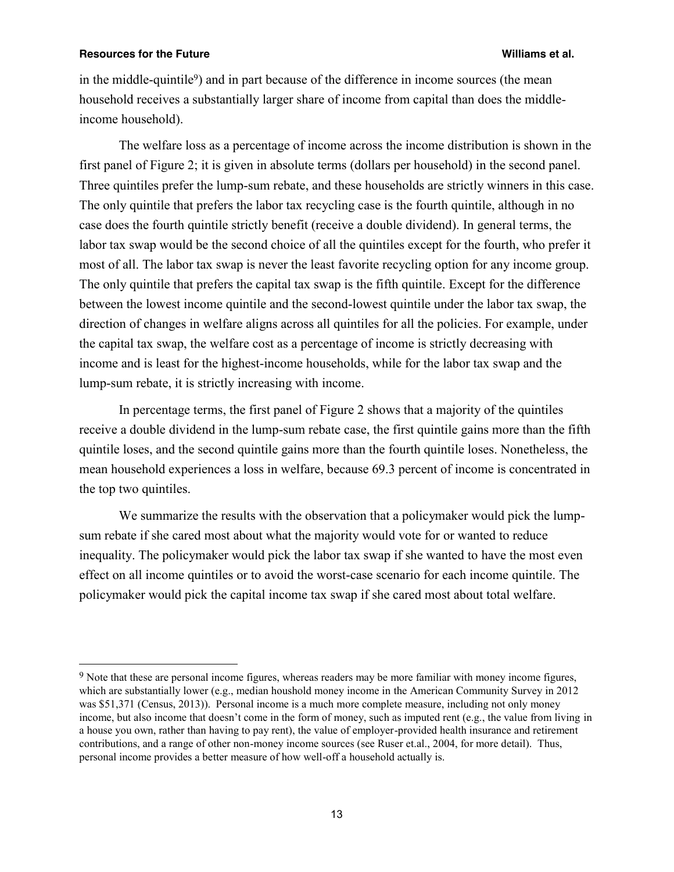in the middle-quintile<sup>9</sup>) and in part because of the difference in income sources (the mean household receives a substantially larger share of income from capital than does the middleincome household).

The welfare loss as a percentage of income across the income distribution is shown in the first panel of Figure 2; it is given in absolute terms (dollars per household) in the second panel. Three quintiles prefer the lump-sum rebate, and these households are strictly winners in this case. The only quintile that prefers the labor tax recycling case is the fourth quintile, although in no case does the fourth quintile strictly benefit (receive a double dividend). In general terms, the labor tax swap would be the second choice of all the quintiles except for the fourth, who prefer it most of all. The labor tax swap is never the least favorite recycling option for any income group. The only quintile that prefers the capital tax swap is the fifth quintile. Except for the difference between the lowest income quintile and the second-lowest quintile under the labor tax swap, the direction of changes in welfare aligns across all quintiles for all the policies. For example, under the capital tax swap, the welfare cost as a percentage of income is strictly decreasing with income and is least for the highest-income households, while for the labor tax swap and the lump-sum rebate, it is strictly increasing with income.

In percentage terms, the first panel of Figure 2 shows that a majority of the quintiles receive a double dividend in the lump-sum rebate case, the first quintile gains more than the fifth quintile loses, and the second quintile gains more than the fourth quintile loses. Nonetheless, the mean household experiences a loss in welfare, because 69.3 percent of income is concentrated in the top two quintiles.

We summarize the results with the observation that a policymaker would pick the lumpsum rebate if she cared most about what the majority would vote for or wanted to reduce inequality. The policymaker would pick the labor tax swap if she wanted to have the most even effect on all income quintiles or to avoid the worst-case scenario for each income quintile. The policymaker would pick the capital income tax swap if she cared most about total welfare.

 <sup>9</sup> Note that these are personal income figures, whereas readers may be more familiar with money income figures, which are substantially lower (e.g., median houshold money income in the American Community Survey in 2012 was \$51,371 (Census, 2013)). Personal income is a much more complete measure, including not only money income, but also income that doesn't come in the form of money, such as imputed rent (e.g., the value from living in a house you own, rather than having to pay rent), the value of employer-provided health insurance and retirement contributions, and a range of other non-money income sources (see Ruser et.al., 2004, for more detail). Thus, personal income provides a better measure of how well-off a household actually is.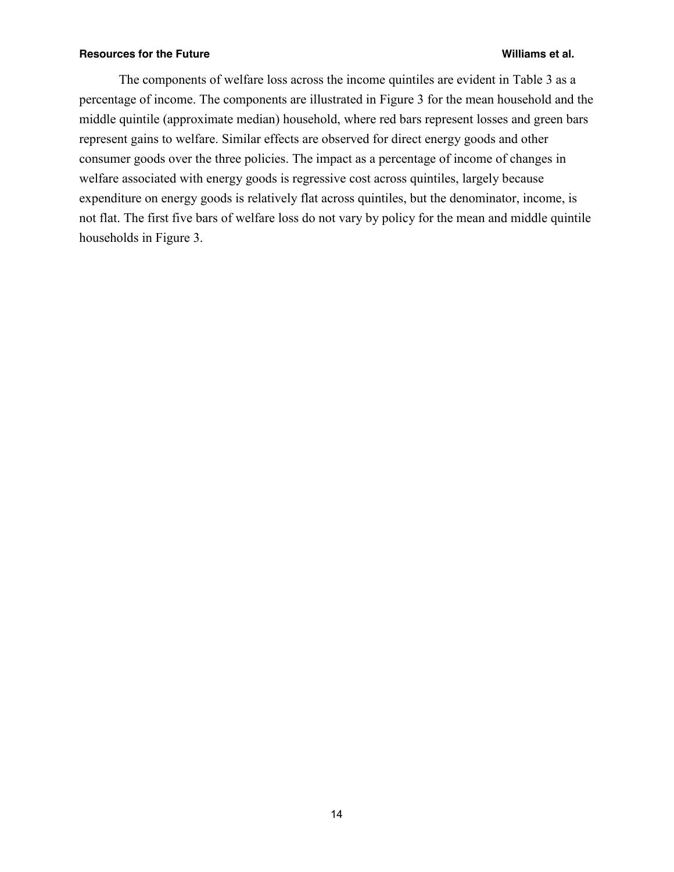The components of welfare loss across the income quintiles are evident in Table 3 as a percentage of income. The components are illustrated in Figure 3 for the mean household and the middle quintile (approximate median) household, where red bars represent losses and green bars represent gains to welfare. Similar effects are observed for direct energy goods and other consumer goods over the three policies. The impact as a percentage of income of changes in welfare associated with energy goods is regressive cost across quintiles, largely because expenditure on energy goods is relatively flat across quintiles, but the denominator, income, is not flat. The first five bars of welfare loss do not vary by policy for the mean and middle quintile households in Figure 3.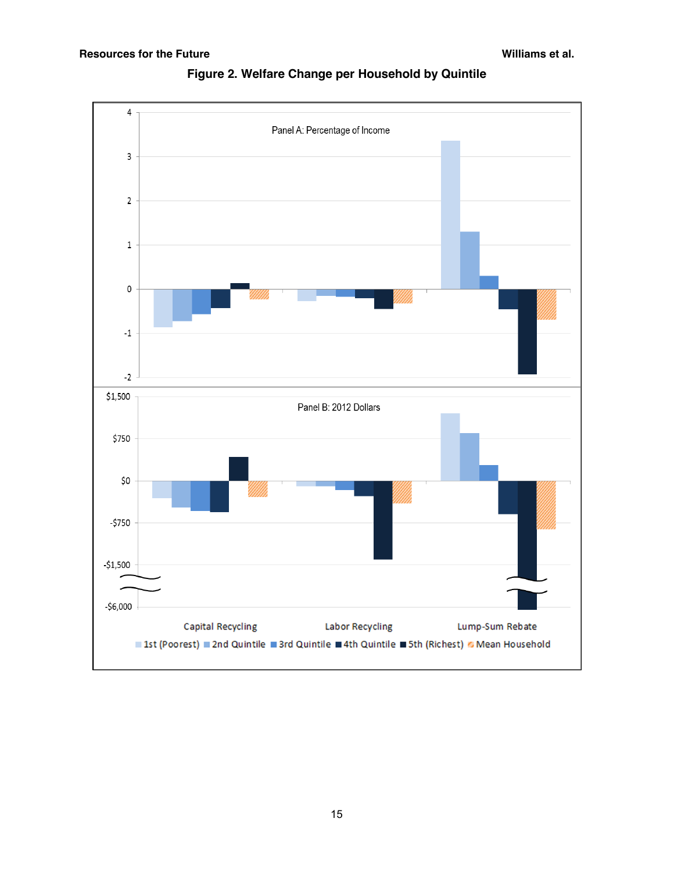

**Figure 2. Welfare Change per Household by Quintile**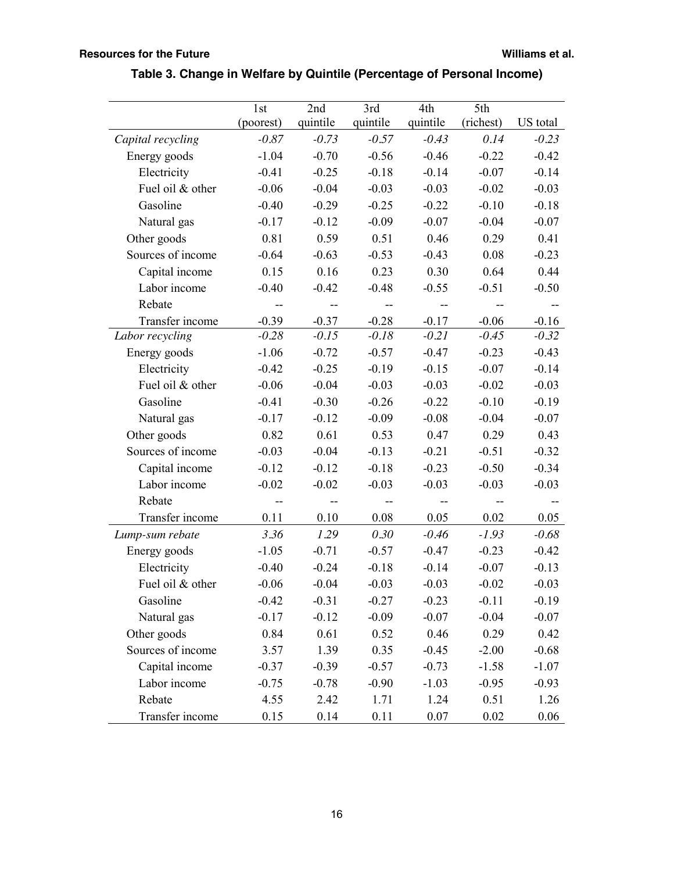|                   | 1st                               | 2nd                                   | 3rd                      | 4th            | 5th                      |                                       |
|-------------------|-----------------------------------|---------------------------------------|--------------------------|----------------|--------------------------|---------------------------------------|
|                   | (poorest)                         | quintile                              | quintile                 | quintile       | (richest)                | US total                              |
| Capital recycling | $-0.87$                           | $-0.73$                               | $-0.57$                  | $-0.43$        | 0.14                     | $-0.23$                               |
| Energy goods      | $-1.04$                           | $-0.70$                               | $-0.56$                  | $-0.46$        | $-0.22$                  | $-0.42$                               |
| Electricity       | $-0.41$                           | $-0.25$                               | $-0.18$                  | $-0.14$        | $-0.07$                  | $-0.14$                               |
| Fuel oil & other  | $-0.06$                           | $-0.04$                               | $-0.03$                  | $-0.03$        | $-0.02$                  | $-0.03$                               |
| Gasoline          | $-0.40$                           | $-0.29$                               | $-0.25$                  | $-0.22$        | $-0.10$                  | $-0.18$                               |
| Natural gas       | $-0.17$                           | $-0.12$                               | $-0.09$                  | $-0.07$        | $-0.04$                  | $-0.07$                               |
| Other goods       | 0.81                              | 0.59                                  | 0.51                     | 0.46           | 0.29                     | 0.41                                  |
| Sources of income | $-0.64$                           | $-0.63$                               | $-0.53$                  | $-0.43$        | 0.08                     | $-0.23$                               |
| Capital income    | 0.15                              | 0.16                                  | 0.23                     | 0.30           | 0.64                     | 0.44                                  |
| Labor income      | $-0.40$                           | $-0.42$                               | $-0.48$                  | $-0.55$        | $-0.51$                  | $-0.50$                               |
| Rebate            | $\overline{\phantom{a}}$          | $\overline{\phantom{a}}$              | $\overline{\phantom{a}}$ | $\overline{a}$ | $\overline{\phantom{a}}$ | --                                    |
| Transfer income   | $-0.39$                           | $-0.37$                               | $-0.28$                  | $-0.17$        | $-0.06$                  | $-0.16$                               |
| Labor recycling   | $-0.28$                           | $-0.15$                               | $-0.18$                  | $-0.21$        | $-0.45$                  | $-0.32$                               |
| Energy goods      | $-1.06$                           | $-0.72$                               | $-0.57$                  | $-0.47$        | $-0.23$                  | $-0.43$                               |
| Electricity       | $-0.42$                           | $-0.25$                               | $-0.19$                  | $-0.15$        | $-0.07$                  | $-0.14$                               |
| Fuel oil & other  | $-0.06$                           | $-0.04$                               | $-0.03$                  | $-0.03$        | $-0.02$                  | $-0.03$                               |
| Gasoline          | $-0.41$                           | $-0.30$                               | $-0.26$                  | $-0.22$        | $-0.10$                  | $-0.19$                               |
| Natural gas       | $-0.17$                           | $-0.12$                               | $-0.09$                  | $-0.08$        | $-0.04$                  | $-0.07$                               |
| Other goods       | 0.82                              | 0.61                                  | 0.53                     | 0.47           | 0.29                     | 0.43                                  |
| Sources of income | $-0.03$                           | $-0.04$                               | $-0.13$                  | $-0.21$        | $-0.51$                  | $-0.32$                               |
| Capital income    | $-0.12$                           | $-0.12$                               | $-0.18$                  | $-0.23$        | $-0.50$                  | $-0.34$                               |
| Labor income      | $-0.02$                           | $-0.02$                               | $-0.03$                  | $-0.03$        | $-0.03$                  | $-0.03$                               |
| Rebate            | $\hspace{0.05cm} \dashrightarrow$ | $\hspace{0.05cm}$ – $\hspace{0.05cm}$ | $\overline{\phantom{m}}$ | --             | $- -$                    | $\hspace{0.05cm}$ – $\hspace{0.05cm}$ |
| Transfer income   | 0.11                              | 0.10                                  | 0.08                     | 0.05           | 0.02                     | 0.05                                  |
| Lump-sum rebate   | 3.36                              | 1.29                                  | 0.30                     | $-0.46$        | $-1.93$                  | $-0.68$                               |
| Energy goods      | $-1.05$                           | $-0.71$                               | $-0.57$                  | $-0.47$        | $-0.23$                  | $-0.42$                               |
| Electricity       | $-0.40$                           | $-0.24$                               | $-0.18$                  | $-0.14$        | $-0.07$                  | $-0.13$                               |
| Fuel oil & other  | $-0.06$                           | $-0.04$                               | $-0.03$                  | $-0.03$        | $-0.02$                  | $-0.03$                               |
| Gasoline          | $-0.42$                           | $-0.31$                               | $-0.27$                  | $-0.23$        | $-0.11$                  | $-0.19$                               |
| Natural gas       | $-0.17$                           | $-0.12$                               | $-0.09$                  | $-0.07$        | $-0.04$                  | $-0.07$                               |
| Other goods       | 0.84                              | 0.61                                  | 0.52                     | 0.46           | 0.29                     | 0.42                                  |
| Sources of income | 3.57                              | 1.39                                  | 0.35                     | $-0.45$        | $-2.00$                  | $-0.68$                               |
| Capital income    | $-0.37$                           | $-0.39$                               | $-0.57$                  | $-0.73$        | $-1.58$                  | $-1.07$                               |
| Labor income      | $-0.75$                           | $-0.78$                               | $-0.90$                  | $-1.03$        | $-0.95$                  | $-0.93$                               |
| Rebate            | 4.55                              | 2.42                                  | 1.71                     | 1.24           | 0.51                     | 1.26                                  |
| Transfer income   | 0.15                              | 0.14                                  | 0.11                     | 0.07           | 0.02                     | 0.06                                  |

**Table 3. Change in Welfare by Quintile (Percentage of Personal Income)**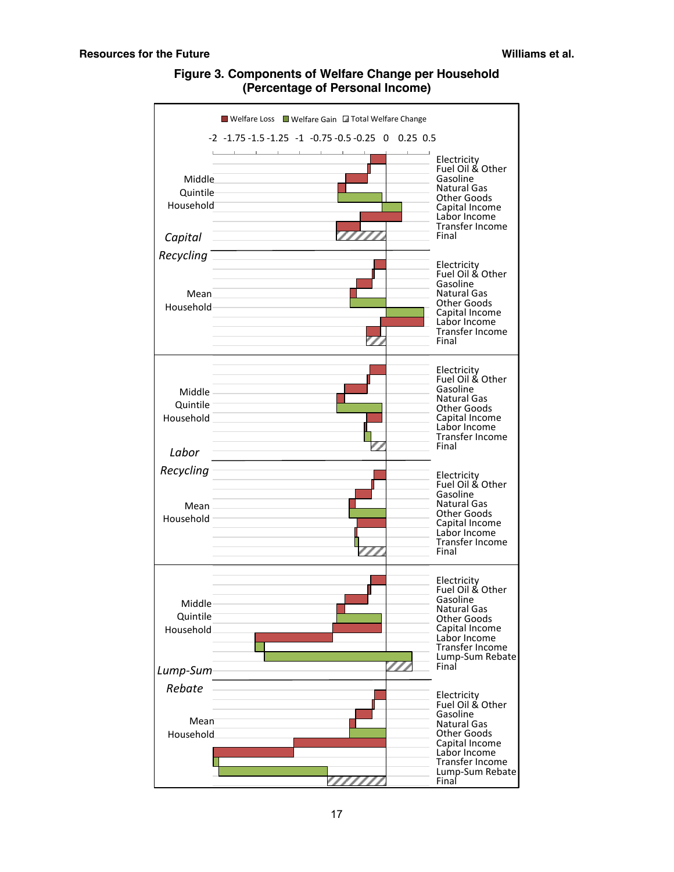### **Figure 3. Components of Welfare Change per Household (Percentage of Personal Income)**

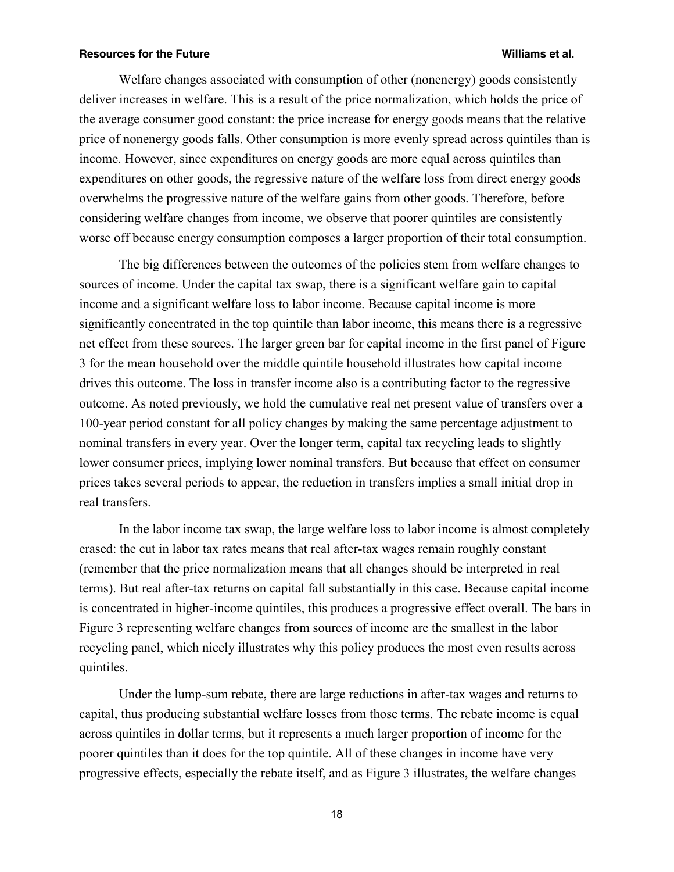Welfare changes associated with consumption of other (nonenergy) goods consistently deliver increases in welfare. This is a result of the price normalization, which holds the price of the average consumer good constant: the price increase for energy goods means that the relative price of nonenergy goods falls. Other consumption is more evenly spread across quintiles than is income. However, since expenditures on energy goods are more equal across quintiles than expenditures on other goods, the regressive nature of the welfare loss from direct energy goods overwhelms the progressive nature of the welfare gains from other goods. Therefore, before considering welfare changes from income, we observe that poorer quintiles are consistently worse off because energy consumption composes a larger proportion of their total consumption.

The big differences between the outcomes of the policies stem from welfare changes to sources of income. Under the capital tax swap, there is a significant welfare gain to capital income and a significant welfare loss to labor income. Because capital income is more significantly concentrated in the top quintile than labor income, this means there is a regressive net effect from these sources. The larger green bar for capital income in the first panel of Figure 3 for the mean household over the middle quintile household illustrates how capital income drives this outcome. The loss in transfer income also is a contributing factor to the regressive outcome. As noted previously, we hold the cumulative real net present value of transfers over a 100-year period constant for all policy changes by making the same percentage adjustment to nominal transfers in every year. Over the longer term, capital tax recycling leads to slightly lower consumer prices, implying lower nominal transfers. But because that effect on consumer prices takes several periods to appear, the reduction in transfers implies a small initial drop in real transfers.

In the labor income tax swap, the large welfare loss to labor income is almost completely erased: the cut in labor tax rates means that real after-tax wages remain roughly constant (remember that the price normalization means that all changes should be interpreted in real terms). But real after-tax returns on capital fall substantially in this case. Because capital income is concentrated in higher-income quintiles, this produces a progressive effect overall. The bars in Figure 3 representing welfare changes from sources of income are the smallest in the labor recycling panel, which nicely illustrates why this policy produces the most even results across quintiles.

Under the lump-sum rebate, there are large reductions in after-tax wages and returns to capital, thus producing substantial welfare losses from those terms. The rebate income is equal across quintiles in dollar terms, but it represents a much larger proportion of income for the poorer quintiles than it does for the top quintile. All of these changes in income have very progressive effects, especially the rebate itself, and as Figure 3 illustrates, the welfare changes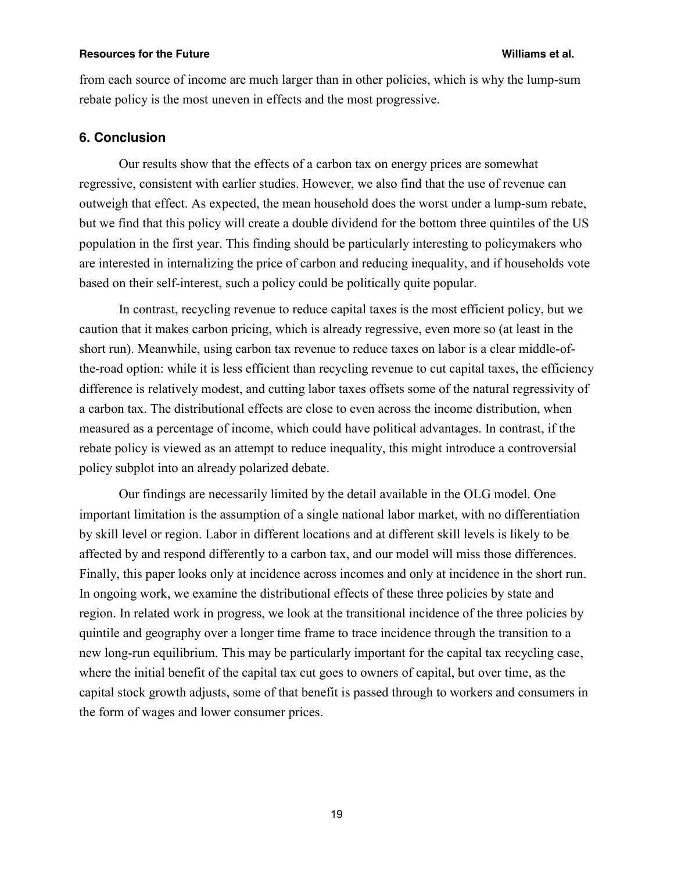from each source of income are much larger than in other policies, which is why the lump-sum rebate policy is the most uneven in effects and the most progressive.

### **6. Conclusion**

Our results show that the effects of a carbon tax on energy prices are somewhat regressive, consistent with earlier studies. However, we also find that the use of revenue can outweigh that effect. As expected, the mean household does the worst under a lump-sum rebate, but we find that this policy will create a double dividend for the bottom three quintiles of the US population in the first year. This finding should be particularly interesting to policymakers who are interested in internalizing the price of carbon and reducing inequality, and if households vote based on their self-interest, such a policy could be politically quite popular.

In contrast, recycling revenue to reduce capital taxes is the most efficient policy, but we caution that it makes carbon pricing, which is already regressive, even more so (at least in the short run). Meanwhile, using carbon tax revenue to reduce taxes on labor is a clear middle-ofthe-road option: while it is less efficient than recycling revenue to cut capital taxes, the efficiency difference is relatively modest, and cutting labor taxes offsets some of the natural regressivity of a carbon tax. The distributional effects are close to even across the income distribution, when measured as a percentage of income, which could have political advantages. In contrast, if the rebate policy is viewed as an attempt to reduce inequality, this might introduce a controversial policy subplot into an already polarized debate.

Our findings are necessarily limited by the detail available in the OLG model. One important limitation is the assumption of a single national labor market, with no differentiation by skill level or region. Labor in different locations and at different skill levels is likely to be affected by and respond differently to a carbon tax, and our model will miss those differences. Finally, this paper looks only at incidence across incomes and only at incidence in the short run. In ongoing work, we examine the distributional effects of these three policies by state and region. In related work in progress, we look at the transitional incidence of the three policies by quintile and geography over a longer time frame to trace incidence through the transition to a new long-run equilibrium. This may be particularly important for the capital tax recycling case, where the initial benefit of the capital tax cut goes to owners of capital, but over time, as the capital stock growth adjusts, some of that benefit is passed through to workers and consumers in the form of wages and lower consumer prices.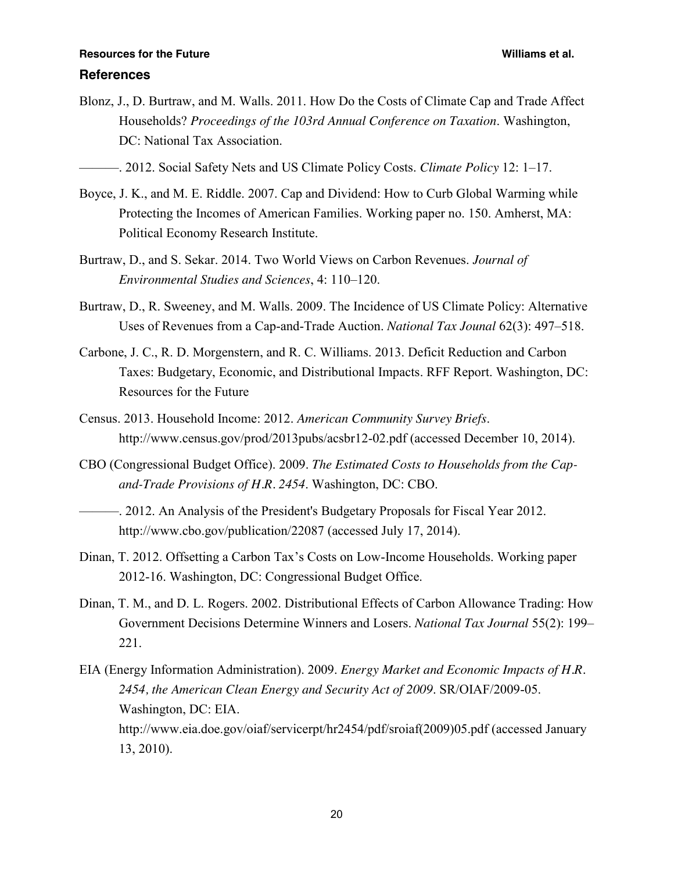### **References**

- Blonz, J., D. Burtraw, and M. Walls. 2011. How Do the Costs of Climate Cap and Trade Affect Households? *Proceedings of the 103rd Annual Conference on Taxation*. Washington, DC: National Tax Association.
- ———. 2012. Social Safety Nets and US Climate Policy Costs. *Climate Policy* 12: 1–17.
- Boyce, J. K., and M. E. Riddle. 2007. Cap and Dividend: How to Curb Global Warming while Protecting the Incomes of American Families. Working paper no. 150. Amherst, MA: Political Economy Research Institute.
- Burtraw, D., and S. Sekar. 2014. Two World Views on Carbon Revenues. *Journal of Environmental Studies and Sciences*, 4: 110–120.
- Burtraw, D., R. Sweeney, and M. Walls. 2009. The Incidence of US Climate Policy: Alternative Uses of Revenues from a Cap-and-Trade Auction. *National Tax Jounal* 62(3): 497–518.
- Carbone, J. C., R. D. Morgenstern, and R. C. Williams. 2013. Deficit Reduction and Carbon Taxes: Budgetary, Economic, and Distributional Impacts. RFF Report. Washington, DC: Resources for the Future
- Census. 2013. Household Income: 2012. *American Community Survey Briefs*. <http://www.census.gov/prod/2013pubs/acsbr12-02.pdf> (accessed December 10, 2014).
- CBO (Congressional Budget Office). 2009. *The Estimated Costs to Households from the Capand-Trade Provisions of H.R. 2454*. Washington, DC: CBO.
- ———. 2012. An Analysis of the President's Budgetary Proposals for Fiscal Year 2012. http://www.cbo.gov/publication/22087 (accessed July 17, 2014).
- Dinan, T. 2012. Offsetting a Carbon Tax's Costs on Low-Income Households. Working paper 2012-16. Washington, DC: Congressional Budget Office.
- Dinan, T. M., and D. L. Rogers. 2002. Distributional Effects of Carbon Allowance Trading: How Government Decisions Determine Winners and Losers. *National Tax Journal* 55(2): 199– 221.
- EIA (Energy Information Administration). 2009. *Energy Market and Economic Impacts of H.R. 2454, the American Clean Energy and Security Act of 2009*. SR/OIAF/2009-05. Washington, DC: EIA. http://www.eia.doe.gov/oiaf/servicerpt/hr2454/pdf/sroiaf(2009)05.pdf (accessed January 13, 2010).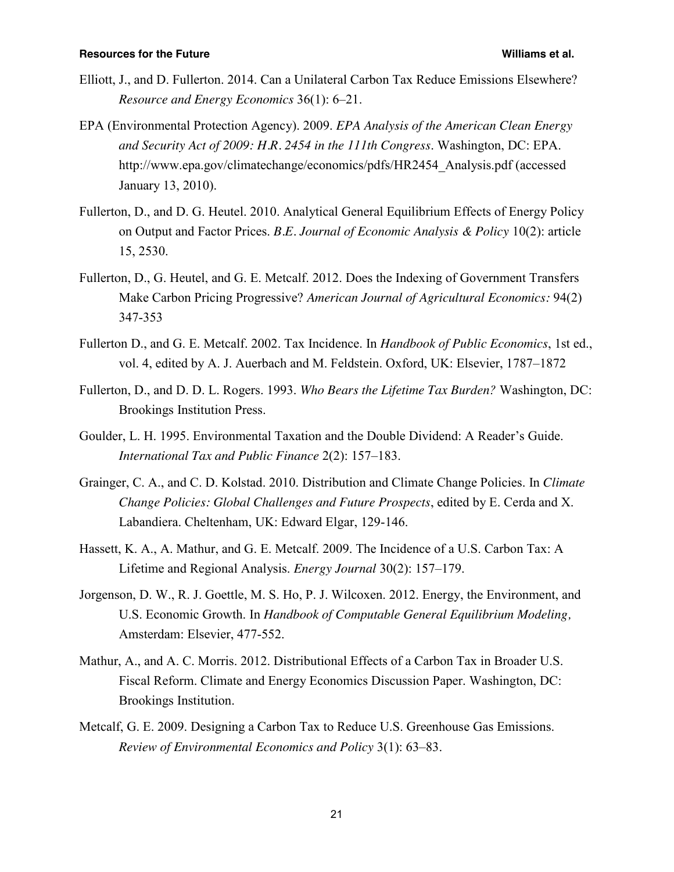- Elliott, J., and D. Fullerton. 2014. Can a Unilateral Carbon Tax Reduce Emissions Elsewhere? *Resource and Energy Economics* 36(1): 6–21.
- EPA (Environmental Protection Agency). 2009. *EPA Analysis of the American Clean Energy and Security Act of 2009: H.R. 2454 in the 111th Congress*. Washington, DC: EPA. http://www.epa.gov/climatechange/economics/pdfs/HR2454\_Analysis.pdf (accessed January 13, 2010).
- Fullerton, D., and D. G. Heutel. 2010. Analytical General Equilibrium Effects of Energy Policy on Output and Factor Prices. *B.E. Journal of Economic Analysis & Policy* 10(2): article 15, 2530.
- Fullerton, D., G. Heutel, and G. E. Metcalf. 2012. Does the Indexing of Government Transfers Make Carbon Pricing Progressive? *American Journal of Agricultural Economics:* 94(2) 347-353
- Fullerton D., and G. E. Metcalf. 2002. Tax Incidence. In *Handbook of Public Economics*, 1st ed., vol. 4, edited by A. J. Auerbach and M. Feldstein. Oxford, UK: Elsevier, 1787–1872
- Fullerton, D., and D. D. L. Rogers. 1993. *Who Bears the Lifetime Tax Burden?* Washington, DC: Brookings Institution Press.
- Goulder, L. H. 1995. Environmental Taxation and the Double Dividend: A Reader's Guide. *International Tax and Public Finance* 2(2): 157–183.
- Grainger, C. A., and C. D. Kolstad. 2010. Distribution and Climate Change Policies. In *Climate Change Policies: Global Challenges and Future Prospects*, edited by E. Cerda and X. Labandiera. Cheltenham, UK: Edward Elgar, 129-146.
- Hassett, K. A., A. Mathur, and G. E. Metcalf. 2009. The Incidence of a U.S. Carbon Tax: A Lifetime and Regional Analysis. *Energy Journal* 30(2): 157–179.
- Jorgenson, D. W., R. J. Goettle, M. S. Ho, P. J. Wilcoxen. 2012. Energy, the Environment, and U.S. Economic Growth. In *Handbook of Computable General Equilibrium Modeling,*  Amsterdam: Elsevier, 477-552.
- Mathur, A., and A. C. Morris. 2012. Distributional Effects of a Carbon Tax in Broader U.S. Fiscal Reform. Climate and Energy Economics Discussion Paper. Washington, DC: Brookings Institution.
- Metcalf, G. E. 2009. Designing a Carbon Tax to Reduce U.S. Greenhouse Gas Emissions. *Review of Environmental Economics and Policy* 3(1): 63–83.